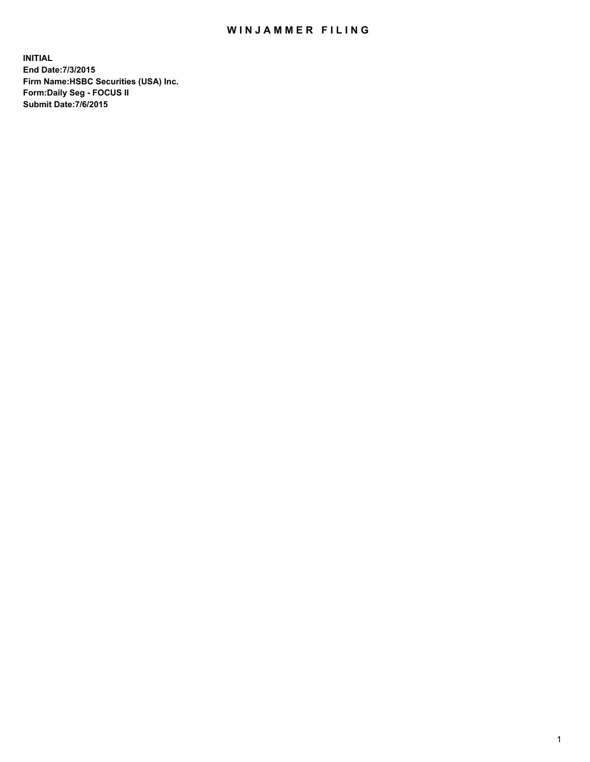## WIN JAMMER FILING

**INITIAL End Date:7/3/2015 Firm Name:HSBC Securities (USA) Inc. Form:Daily Seg - FOCUS II Submit Date:7/6/2015**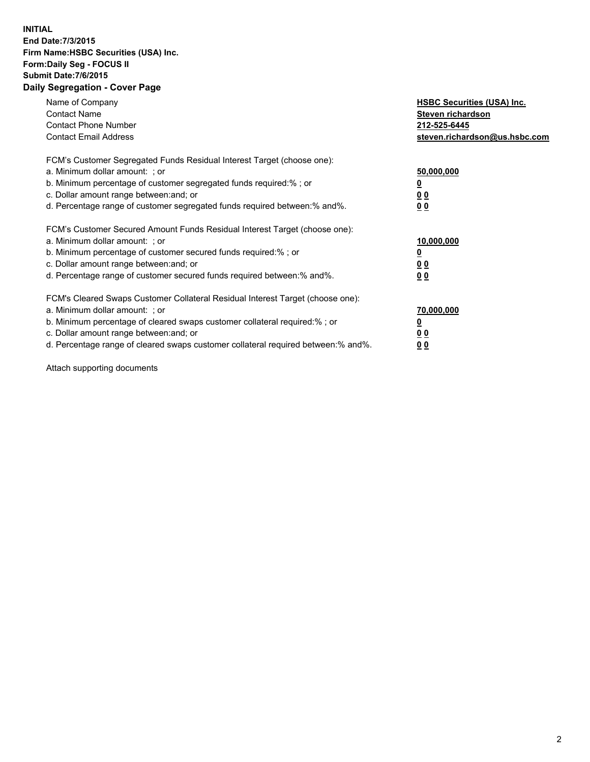## **INITIAL End Date:7/3/2015 Firm Name:HSBC Securities (USA) Inc. Form:Daily Seg - FOCUS II Submit Date:7/6/2015 Daily Segregation - Cover Page**

| Name of Company<br><b>Contact Name</b><br><b>Contact Phone Number</b><br><b>Contact Email Address</b>                                                                                                                                                                                                                         | <b>HSBC Securities (USA) Inc.</b><br>Steven richardson<br>212-525-6445<br>steven.richardson@us.hsbc.com |
|-------------------------------------------------------------------------------------------------------------------------------------------------------------------------------------------------------------------------------------------------------------------------------------------------------------------------------|---------------------------------------------------------------------------------------------------------|
| FCM's Customer Segregated Funds Residual Interest Target (choose one):<br>a. Minimum dollar amount: ; or<br>b. Minimum percentage of customer segregated funds required:%; or<br>c. Dollar amount range between: and; or<br>d. Percentage range of customer segregated funds required between:% and%.                         | 50,000,000<br>00<br>0 <sub>0</sub>                                                                      |
| FCM's Customer Secured Amount Funds Residual Interest Target (choose one):<br>a. Minimum dollar amount: ; or<br>b. Minimum percentage of customer secured funds required:%; or<br>c. Dollar amount range between: and; or<br>d. Percentage range of customer secured funds required between:% and%.                           | 10,000,000<br>0 <sub>0</sub><br>00                                                                      |
| FCM's Cleared Swaps Customer Collateral Residual Interest Target (choose one):<br>a. Minimum dollar amount: ; or<br>b. Minimum percentage of cleared swaps customer collateral required:%; or<br>c. Dollar amount range between: and; or<br>d. Percentage range of cleared swaps customer collateral required between:% and%. | 70,000,000<br><u>00</u><br><u>00</u>                                                                    |

Attach supporting documents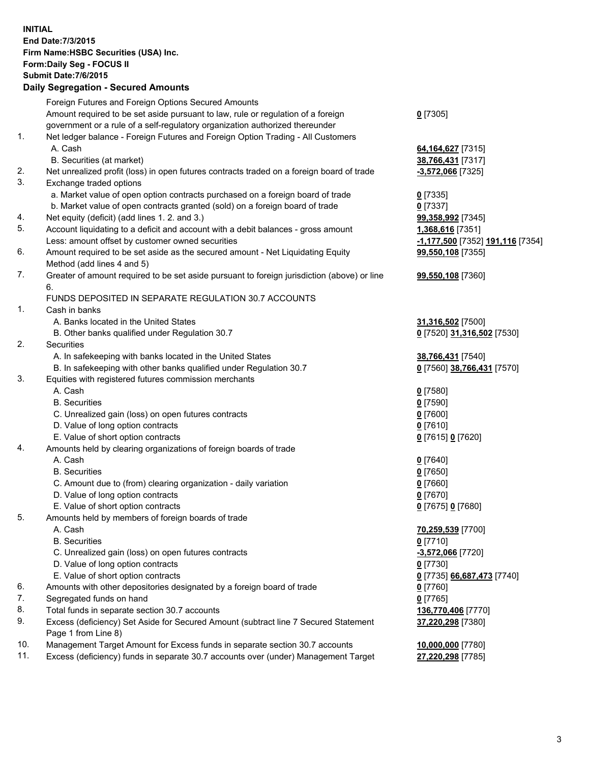**INITIAL End Date:7/3/2015 Firm Name:HSBC Securities (USA) Inc. Form:Daily Seg - FOCUS II Submit Date:7/6/2015 Daily Segregation - Secured Amounts** Foreign Futures and Foreign Options Secured Amounts Amount required to be set aside pursuant to law, rule or regulation of a foreign government or a rule of a self-regulatory organization authorized thereunder **0** [7305] 1. Net ledger balance - Foreign Futures and Foreign Option Trading - All Customers A. Cash **64,164,627** [7315] B. Securities (at market) **38,766,431** [7317] 2. Net unrealized profit (loss) in open futures contracts traded on a foreign board of trade **-3,572,066** [7325] 3. Exchange traded options a. Market value of open option contracts purchased on a foreign board of trade **0** [7335] b. Market value of open contracts granted (sold) on a foreign board of trade **0** [7337] 4. Net equity (deficit) (add lines 1. 2. and 3.) **99,358,992** [7345] 5. Account liquidating to a deficit and account with a debit balances - gross amount **1,368,616** [7351] Less: amount offset by customer owned securities **-1,177,500** [7352] **191,116** [7354] 6. Amount required to be set aside as the secured amount - Net Liquidating Equity Method (add lines 4 and 5) **99,550,108** [7355] 7. Greater of amount required to be set aside pursuant to foreign jurisdiction (above) or line 6. **99,550,108** [7360] FUNDS DEPOSITED IN SEPARATE REGULATION 30.7 ACCOUNTS 1. Cash in banks A. Banks located in the United States **31,316,502** [7500] B. Other banks qualified under Regulation 30.7 **0** [7520] **31,316,502** [7530] 2. Securities A. In safekeeping with banks located in the United States **38,766,431** [7540] B. In safekeeping with other banks qualified under Regulation 30.7 **0** [7560] **38,766,431** [7570] 3. Equities with registered futures commission merchants A. Cash **0** [7580] B. Securities **0** [7590] C. Unrealized gain (loss) on open futures contracts **0** [7600] D. Value of long option contracts **0** [7610] E. Value of short option contracts **0** [7615] **0** [7620] 4. Amounts held by clearing organizations of foreign boards of trade A. Cash **0** [7640] B. Securities **0** [7650] C. Amount due to (from) clearing organization - daily variation **0** [7660] D. Value of long option contracts **0** [7670] E. Value of short option contracts **0** [7675] **0** [7680] 5. Amounts held by members of foreign boards of trade A. Cash **70,259,539** [7700] B. Securities **0** [7710] C. Unrealized gain (loss) on open futures contracts **-3,572,066** [7720] D. Value of long option contracts **0** [7730] E. Value of short option contracts **0** [7735] **66,687,473** [7740] 6. Amounts with other depositories designated by a foreign board of trade **0** [7760] 7. Segregated funds on hand **0** [7765] 8. Total funds in separate section 30.7 accounts **136,770,406** [7770] 9. Excess (deficiency) Set Aside for Secured Amount (subtract line 7 Secured Statement Page 1 from Line 8) **37,220,298** [7380] 10. Management Target Amount for Excess funds in separate section 30.7 accounts **10,000,000** [7780] 11. Excess (deficiency) funds in separate 30.7 accounts over (under) Management Target **27,220,298** [7785]

3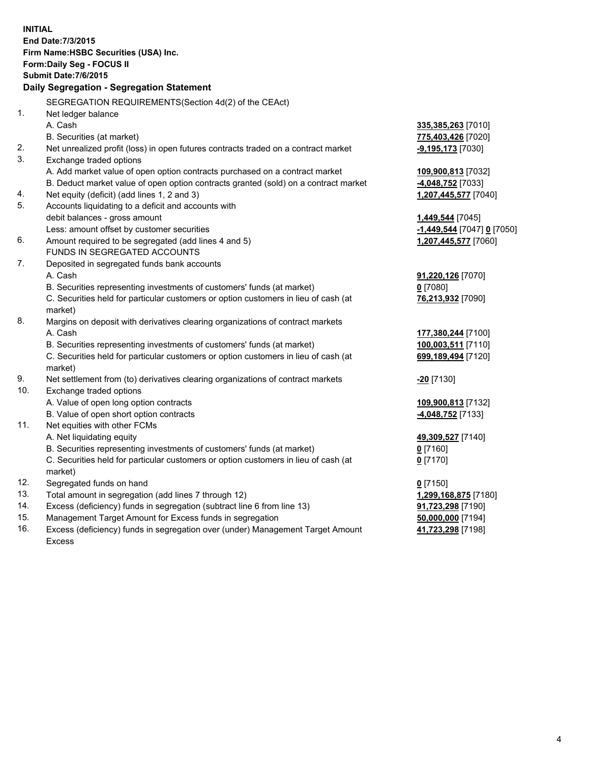| <b>INITIAL</b> | End Date: 7/3/2015<br>Firm Name: HSBC Securities (USA) Inc.<br>Form: Daily Seg - FOCUS II<br><b>Submit Date: 7/6/2015</b><br><b>Daily Segregation - Segregation Statement</b> |                                        |
|----------------|-------------------------------------------------------------------------------------------------------------------------------------------------------------------------------|----------------------------------------|
|                | SEGREGATION REQUIREMENTS(Section 4d(2) of the CEAct)                                                                                                                          |                                        |
| 1.             | Net ledger balance                                                                                                                                                            |                                        |
|                | A. Cash                                                                                                                                                                       | 335,385,263 [7010]                     |
|                | B. Securities (at market)                                                                                                                                                     | 775,403,426 [7020]                     |
| 2.<br>3.       | Net unrealized profit (loss) in open futures contracts traded on a contract market                                                                                            | $-9,195,173$ [7030]                    |
|                | Exchange traded options                                                                                                                                                       |                                        |
|                | A. Add market value of open option contracts purchased on a contract market<br>B. Deduct market value of open option contracts granted (sold) on a contract market            | 109,900,813 [7032]<br>4,048,752 [7033] |
| 4.             | Net equity (deficit) (add lines 1, 2 and 3)                                                                                                                                   | 1,207,445,577 [7040]                   |
| 5.             | Accounts liquidating to a deficit and accounts with                                                                                                                           |                                        |
|                | debit balances - gross amount                                                                                                                                                 | 1,449,544 [7045]                       |
|                | Less: amount offset by customer securities                                                                                                                                    | -1,449,544 [7047] 0 [7050]             |
| 6.             | Amount required to be segregated (add lines 4 and 5)                                                                                                                          | 1,207,445,577 [7060]                   |
|                | FUNDS IN SEGREGATED ACCOUNTS                                                                                                                                                  |                                        |
| 7.             | Deposited in segregated funds bank accounts                                                                                                                                   |                                        |
|                | A. Cash                                                                                                                                                                       | 91,220,126 [7070]                      |
|                | B. Securities representing investments of customers' funds (at market)                                                                                                        | $0$ [7080]                             |
|                | C. Securities held for particular customers or option customers in lieu of cash (at<br>market)                                                                                | 76,213,932 [7090]                      |
| 8.             | Margins on deposit with derivatives clearing organizations of contract markets                                                                                                |                                        |
|                | A. Cash                                                                                                                                                                       | 177,380,244 [7100]                     |
|                | B. Securities representing investments of customers' funds (at market)                                                                                                        | 100,003,511 [7110]                     |
|                | C. Securities held for particular customers or option customers in lieu of cash (at<br>market)                                                                                | 699,189,494 [7120]                     |
| 9.             | Net settlement from (to) derivatives clearing organizations of contract markets                                                                                               | <b>20</b> [7130]                       |
| 10.            | Exchange traded options                                                                                                                                                       |                                        |
|                | A. Value of open long option contracts                                                                                                                                        | 109,900,813 [7132]                     |
|                | B. Value of open short option contracts                                                                                                                                       | 4,048,752 [7133]                       |
| 11.            | Net equities with other FCMs                                                                                                                                                  |                                        |
|                | A. Net liquidating equity                                                                                                                                                     | 49,309,527 [7140]                      |
|                | B. Securities representing investments of customers' funds (at market)<br>C. Securities held for particular customers or option customers in lieu of cash (at                 | 0 [7160]                               |
|                | market)                                                                                                                                                                       | $0$ [7170]                             |
| 12.            | Segregated funds on hand                                                                                                                                                      | $0$ [7150]                             |
| 13.            | Total amount in segregation (add lines 7 through 12)                                                                                                                          | 1,299,168,875 [7180]                   |
| 14.            | Excess (deficiency) funds in segregation (subtract line 6 from line 13)                                                                                                       | 91,723,298 [7190]                      |
| 15.            | Management Target Amount for Excess funds in segregation                                                                                                                      | 50,000,000 [7194]                      |
| 16.            | Excess (deficiency) funds in segregation over (under) Management Target Amount                                                                                                | 41,723,298 [7198]                      |
|                | <b>Excess</b>                                                                                                                                                                 |                                        |